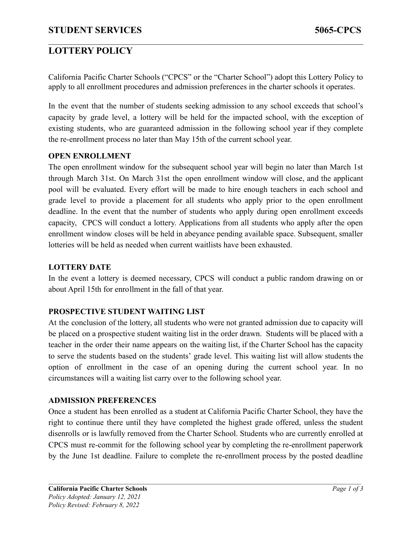# **LOTTERY POLICY**

California Pacific Charter Schools ("CPCS" or the "Charter School") adopt this Lottery Policy to apply to all enrollment procedures and admission preferences in the charter schools it operates.

 $\mathcal{L}_\mathcal{L} = \{ \mathcal{L}_\mathcal{L} = \{ \mathcal{L}_\mathcal{L} = \{ \mathcal{L}_\mathcal{L} = \{ \mathcal{L}_\mathcal{L} = \{ \mathcal{L}_\mathcal{L} = \{ \mathcal{L}_\mathcal{L} = \{ \mathcal{L}_\mathcal{L} = \{ \mathcal{L}_\mathcal{L} = \{ \mathcal{L}_\mathcal{L} = \{ \mathcal{L}_\mathcal{L} = \{ \mathcal{L}_\mathcal{L} = \{ \mathcal{L}_\mathcal{L} = \{ \mathcal{L}_\mathcal{L} = \{ \mathcal{L}_\mathcal{$ 

In the event that the number of students seeking admission to any school exceeds that school's capacity by grade level, a lottery will be held for the impacted school, with the exception of existing students, who are guaranteed admission in the following school year if they complete the re-enrollment process no later than May 15th of the current school year.

### **OPEN ENROLLMENT**

The open enrollment window for the subsequent school year will begin no later than March 1st through March 31st. On March 31st the open enrollment window will close, and the applicant pool will be evaluated. Every effort will be made to hire enough teachers in each school and grade level to provide a placement for all students who apply prior to the open enrollment deadline. In the event that the number of students who apply during open enrollment exceeds capacity, CPCS will conduct a lottery. Applications from all students who apply after the open enrollment window closes will be held in abeyance pending available space. Subsequent, smaller lotteries will be held as needed when current waitlists have been exhausted.

### **LOTTERY DATE**

In the event a lottery is deemed necessary, CPCS will conduct a public random drawing on or about April 15th for enrollment in the fall of that year.

## **PROSPECTIVE STUDENT WAITING LIST**

At the conclusion of the lottery, all students who were not granted admission due to capacity will be placed on a prospective student waiting list in the order drawn. Students will be placed with a teacher in the order their name appears on the waiting list, if the Charter School has the capacity to serve the students based on the students' grade level. This waiting list will allow students the option of enrollment in the case of an opening during the current school year. In no circumstances will a waiting list carry over to the following school year.

#### **ADMISSION PREFERENCES**

Once a student has been enrolled as a student at California Pacific Charter School, they have the right to continue there until they have completed the highest grade offered, unless the student disenrolls or is lawfully removed from the Charter School. Students who are currently enrolled at CPCS must re-commit for the following school year by completing the re-enrollment paperwork by the June 1st deadline. Failure to complete the re-enrollment process by the posted deadline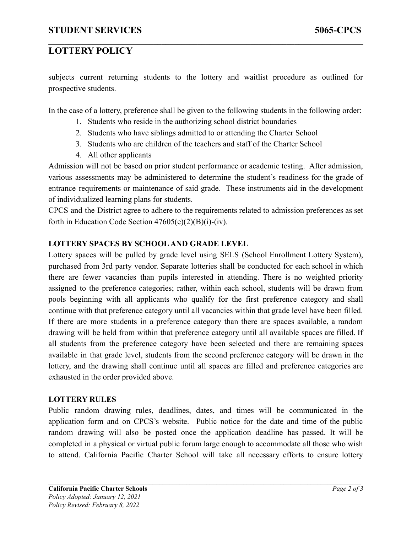# **LOTTERY POLICY**

subjects current returning students to the lottery and waitlist procedure as outlined for prospective students.

 $\mathcal{L}_\mathcal{L} = \{ \mathcal{L}_\mathcal{L} = \{ \mathcal{L}_\mathcal{L} = \{ \mathcal{L}_\mathcal{L} = \{ \mathcal{L}_\mathcal{L} = \{ \mathcal{L}_\mathcal{L} = \{ \mathcal{L}_\mathcal{L} = \{ \mathcal{L}_\mathcal{L} = \{ \mathcal{L}_\mathcal{L} = \{ \mathcal{L}_\mathcal{L} = \{ \mathcal{L}_\mathcal{L} = \{ \mathcal{L}_\mathcal{L} = \{ \mathcal{L}_\mathcal{L} = \{ \mathcal{L}_\mathcal{L} = \{ \mathcal{L}_\mathcal{$ 

In the case of a lottery, preference shall be given to the following students in the following order:

- 1. Students who reside in the authorizing school district boundaries
- 2. Students who have siblings admitted to or attending the Charter School
- 3. Students who are children of the teachers and staff of the Charter School
- 4. All other applicants

Admission will not be based on prior student performance or academic testing. After admission, various assessments may be administered to determine the student's readiness for the grade of entrance requirements or maintenance of said grade. These instruments aid in the development of individualized learning plans for students.

CPCS and the District agree to adhere to the requirements related to admission preferences as set forth in Education Code Section  $47605(e)(2)(B)(i)-(iv)$ .

### **LOTTERY SPACES BY SCHOOLAND GRADE LEVEL**

Lottery spaces will be pulled by grade level using SELS (School Enrollment Lottery System), purchased from 3rd party vendor. Separate lotteries shall be conducted for each school in which there are fewer vacancies than pupils interested in attending. There is no weighted priority assigned to the preference categories; rather, within each school, students will be drawn from pools beginning with all applicants who qualify for the first preference category and shall continue with that preference category until all vacancies within that grade level have been filled. If there are more students in a preference category than there are spaces available, a random drawing will be held from within that preference category until all available spaces are filled. If all students from the preference category have been selected and there are remaining spaces available in that grade level, students from the second preference category will be drawn in the lottery, and the drawing shall continue until all spaces are filled and preference categories are exhausted in the order provided above.

#### **LOTTERY RULES**

Public random drawing rules, deadlines, dates, and times will be communicated in the application form and on CPCS's website. Public notice for the date and time of the public random drawing will also be posted once the application deadline has passed. It will be completed in a physical or virtual public forum large enough to accommodate all those who wish to attend. California Pacific Charter School will take all necessary efforts to ensure lottery